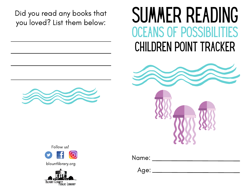Did you read any books that you loved? List them below:

## SUMMER READING Children Point Tracker Oceans of Possibilities





blountlibrary.org



Name:

Age: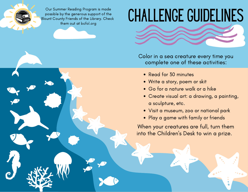Our Summer Reading Program is made possible by the generous support of the Blount County Friends of the Library. Check them out at bcfol.org

## Challenge Guidelines



Color in a sea creature every time you complete one of these activities:

- Read for 30 minutes
- Write a story, poem or skit
- Go for a nature walk or a hike
- Create visual art: a drawing, a painting, a sculpture, etc.
- Visit a museum, zoo or national park
- Play a game with family or friends

When your creatures are full, turn them into the Children 's Desk to win a prize.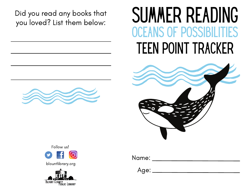Did you read any books that<br>you loved? List them below:

## SUMMER READING teen Point Tracker Oceans of Possibilities





blountlibrary.org



Name:

Age: